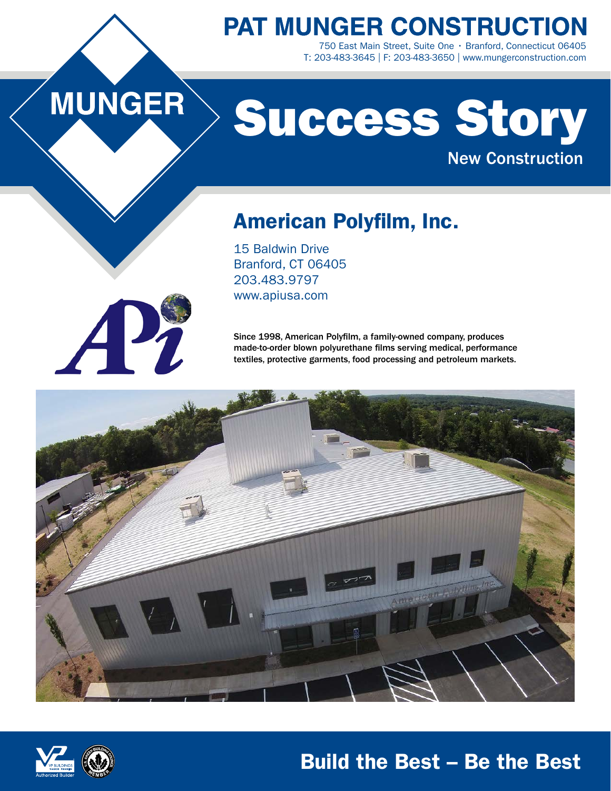**PAT MUNGER CONSTRUCTION** 750 East Main Street, Suite One • Branford, Connecticut 06405 T: 203-483-3645 | F: 203-483-3650 | www.mungerconstruction.com

# MUNGER

# Success Story New Construction

American Polyfilm, Inc.

15 Baldwin Drive Branford, CT 06405 203.483.9797 www.apiusa.com

Since 1998, American Polyfilm, a family-owned company, produces made-to-order blown polyurethane films serving medical, performance textiles, protective garments, food processing and petroleum markets.





## Build the Best – Be the Best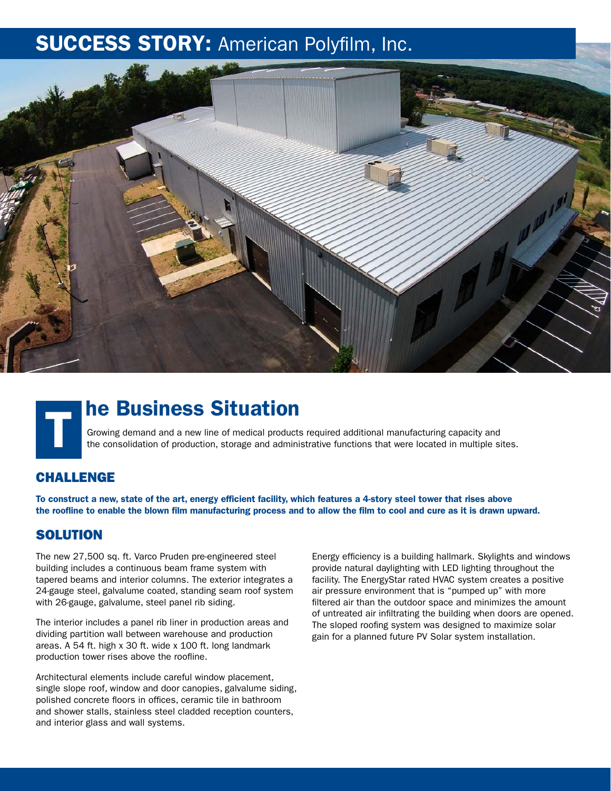## **SUCCESS STORY: American Polyfilm, Inc.**



## he Business Situation T

Growing demand and a new line of medical products required additional manufacturing capacity and the consolidation of production, storage and administrative functions that were located in multiple sites.

## CHALLENGE

To construct a new, state of the art, energy efficient facility, which features a 4-story steel tower that rises above the roofline to enable the blown film manufacturing process and to allow the film to cool and cure as it is drawn upward.

### **SOLUTION**

The new 27,500 sq. ft. Varco Pruden pre-engineered steel building includes a continuous beam frame system with tapered beams and interior columns. The exterior integrates a 24-gauge steel, galvalume coated, standing seam roof system with 26-gauge, galvalume, steel panel rib siding.

The interior includes a panel rib liner in production areas and dividing partition wall between warehouse and production areas. A 54 ft. high x 30 ft. wide x 100 ft. long landmark production tower rises above the roofline.

Architectural elements include careful window placement, single slope roof, window and door canopies, galvalume siding, polished concrete floors in offices, ceramic tile in bathroom and shower stalls, stainless steel cladded reception counters, and interior glass and wall systems.

Energy efficiency is a building hallmark. Skylights and windows provide natural daylighting with LED lighting throughout the facility. The EnergyStar rated HVAC system creates a positive air pressure environment that is "pumped up" with more filtered air than the outdoor space and minimizes the amount of untreated air infiltrating the building when doors are opened. The sloped roofing system was designed to maximize solar gain for a planned future PV Solar system installation.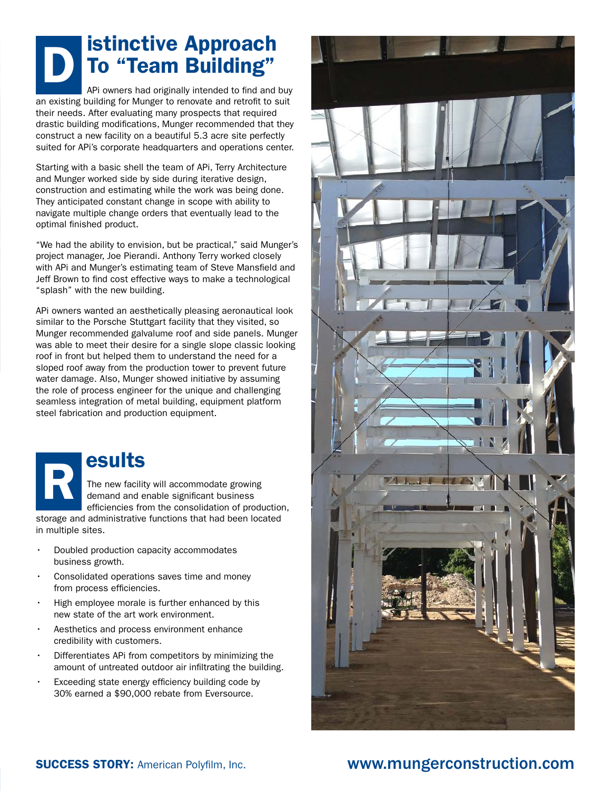## istinctive Approach To "Team Building"

APi owners had originally intended to find and buy an existing building for Munger to renovate and retrofit to suit their needs. After evaluating many prospects that required drastic building modifications, Munger recommended that they construct a new facility on a beautiful 5.3 acre site perfectly suited for APi's corporate headquarters and operations center.

Starting with a basic shell the team of APi, Terry Architecture and Munger worked side by side during iterative design, construction and estimating while the work was being done. They anticipated constant change in scope with ability to navigate multiple change orders that eventually lead to the optimal finished product.

"We had the ability to envision, but be practical," said Munger's project manager, Joe Pierandi. Anthony Terry worked closely with APi and Munger's estimating team of Steve Mansfield and Jeff Brown to find cost effective ways to make a technological "splash" with the new building.

APi owners wanted an aesthetically pleasing aeronautical look similar to the Porsche Stuttgart facility that they visited, so Munger recommended galvalume roof and side panels. Munger was able to meet their desire for a single slope classic looking roof in front but helped them to understand the need for a sloped roof away from the production tower to prevent future water damage. Also, Munger showed initiative by assuming the role of process engineer for the unique and challenging seamless integration of metal building, equipment platform steel fabrication and production equipment.

## esults R

The new facility will accommodate growing demand and enable significant business efficiencies from the consolidation of production,

storage and administrative functions that had been located in multiple sites.

- Doubled production capacity accommodates business growth.
- Consolidated operations saves time and money from process efficiencies.
- High employee morale is further enhanced by this new state of the art work environment.
- Aesthetics and process environment enhance credibility with customers.
- Differentiates APi from competitors by minimizing the amount of untreated outdoor air infiltrating the building.
- Exceeding state energy efficiency building code by 30% earned a \$90,000 rebate from Eversource.



## SUCCESS STORY: American Polyfilm, Inc. www.mungerconstruction.com